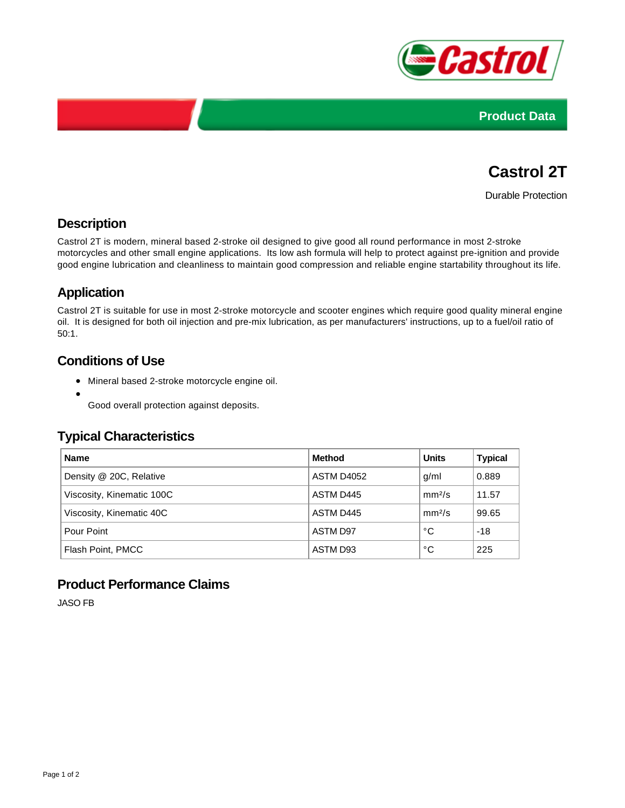



# **Castrol 2T**

Durable Protection

## **Description**

Castrol 2T is modern, mineral based 2-stroke oil designed to give good all round performance in most 2-stroke motorcycles and other small engine applications. Its low ash formula will help to protect against pre-ignition and provide good engine lubrication and cleanliness to maintain good compression and reliable engine startability throughout its life.

## **Application**

Castrol 2T is suitable for use in most 2-stroke motorcycle and scooter engines which require good quality mineral engine oil. It is designed for both oil injection and pre-mix lubrication, as per manufacturers' instructions, up to a fuel/oil ratio of 50:1.

## **Conditions of Use**

- Mineral based 2-stroke motorcycle engine oil.
- 

Good overall protection against deposits.

### **Typical Characteristics**

| <b>Name</b>               | <b>Method</b> | <b>Units</b>       | <b>Typical</b> |
|---------------------------|---------------|--------------------|----------------|
| Density @ 20C, Relative   | ASTM D4052    | g/ml               | 0.889          |
| Viscosity, Kinematic 100C | ASTM D445     | mm <sup>2</sup> /s | 11.57          |
| Viscosity, Kinematic 40C  | ASTM D445     | mm <sup>2</sup> /s | 99.65          |
| Pour Point                | ASTM D97      | °С                 | $-18$          |
| Flash Point, PMCC         | ASTM D93      | °С                 | 225            |

### **Product Performance Claims**

JASO FB